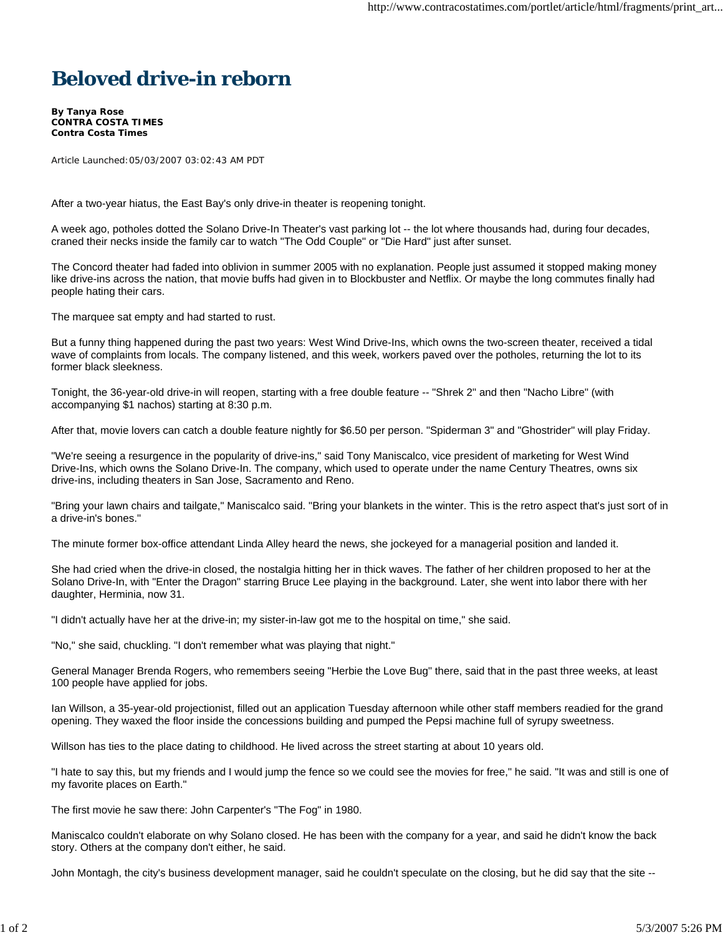## **Beloved drive-in reborn**

**By Tanya Rose CONTRA COSTA TIMES Contra Costa Times**

Article Launched:05/03/2007 03:02:43 AM PDT

After a two-year hiatus, the East Bay's only drive-in theater is reopening tonight.

A week ago, potholes dotted the Solano Drive-In Theater's vast parking lot -- the lot where thousands had, during four decades, craned their necks inside the family car to watch "The Odd Couple" or "Die Hard" just after sunset.

The Concord theater had faded into oblivion in summer 2005 with no explanation. People just assumed it stopped making money like drive-ins across the nation, that movie buffs had given in to Blockbuster and Netflix. Or maybe the long commutes finally had people hating their cars.

The marquee sat empty and had started to rust.

But a funny thing happened during the past two years: West Wind Drive-Ins, which owns the two-screen theater, received a tidal wave of complaints from locals. The company listened, and this week, workers paved over the potholes, returning the lot to its former black sleekness.

Tonight, the 36-year-old drive-in will reopen, starting with a free double feature -- "Shrek 2" and then "Nacho Libre" (with accompanying \$1 nachos) starting at 8:30 p.m.

After that, movie lovers can catch a double feature nightly for \$6.50 per person. "Spiderman 3" and "Ghostrider" will play Friday.

"We're seeing a resurgence in the popularity of drive-ins," said Tony Maniscalco, vice president of marketing for West Wind Drive-Ins, which owns the Solano Drive-In. The company, which used to operate under the name Century Theatres, owns six drive-ins, including theaters in San Jose, Sacramento and Reno.

"Bring your lawn chairs and tailgate," Maniscalco said. "Bring your blankets in the winter. This is the retro aspect that's just sort of in a drive-in's bones."

The minute former box-office attendant Linda Alley heard the news, she jockeyed for a managerial position and landed it.

She had cried when the drive-in closed, the nostalgia hitting her in thick waves. The father of her children proposed to her at the Solano Drive-In, with "Enter the Dragon" starring Bruce Lee playing in the background. Later, she went into labor there with her daughter, Herminia, now 31.

"I didn't actually have her at the drive-in; my sister-in-law got me to the hospital on time," she said.

"No," she said, chuckling. "I don't remember what was playing that night."

General Manager Brenda Rogers, who remembers seeing "Herbie the Love Bug" there, said that in the past three weeks, at least 100 people have applied for jobs.

Ian Willson, a 35-year-old projectionist, filled out an application Tuesday afternoon while other staff members readied for the grand opening. They waxed the floor inside the concessions building and pumped the Pepsi machine full of syrupy sweetness.

Willson has ties to the place dating to childhood. He lived across the street starting at about 10 years old.

"I hate to say this, but my friends and I would jump the fence so we could see the movies for free," he said. "It was and still is one of my favorite places on Earth."

The first movie he saw there: John Carpenter's "The Fog" in 1980.

Maniscalco couldn't elaborate on why Solano closed. He has been with the company for a year, and said he didn't know the back story. Others at the company don't either, he said.

John Montagh, the city's business development manager, said he couldn't speculate on the closing, but he did say that the site --